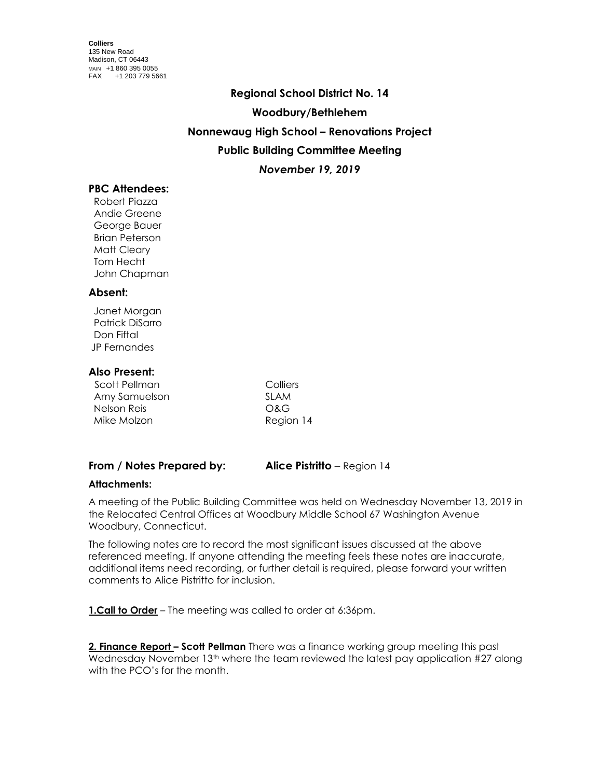# **Regional School District No. 14 Woodbury/Bethlehem Nonnewaug High School – Renovations Project Public Building Committee Meeting** *November 19, 2019*

# **PBC Attendees:**

 Robert Piazza Andie Greene George Bauer Brian Peterson Matt Cleary Tom Hecht John Chapman

#### **Absent:**

 Janet Morgan Patrick DiSarro Don Fiftal JP Fernandes

## **Also Present:**

| Scott Pellman | Colliers  |
|---------------|-----------|
| Amy Samuelson | SI AM     |
| Nelson Reis   | O&G       |
| Mike Molzon   | Region 14 |

## **From / Notes Prepared by: Alice Pistritto** – Region 14

## **Attachments:**

A meeting of the Public Building Committee was held on Wednesday November 13, 2019 in the Relocated Central Offices at Woodbury Middle School 67 Washington Avenue Woodbury, Connecticut.

The following notes are to record the most significant issues discussed at the above referenced meeting. If anyone attending the meeting feels these notes are inaccurate, additional items need recording, or further detail is required, please forward your written comments to Alice Pistritto for inclusion.

**1.Call to Order** – The meeting was called to order at 6:36pm.

**2. Finance Report – Scott Pellman** There was a finance working group meeting this past Wednesday November 13<sup>th</sup> where the team reviewed the latest pay application #27 along with the PCO's for the month.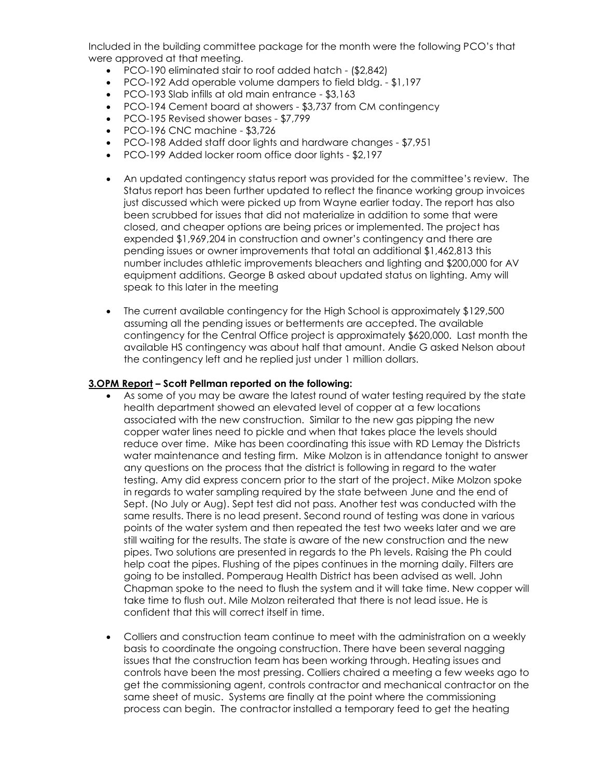Included in the building committee package for the month were the following PCO's that were approved at that meeting.

- PCO-190 eliminated stair to roof added hatch (\$2,842)
- PCO-192 Add operable volume dampers to field bldg. \$1,197
- PCO-193 Slab infills at old main entrance \$3,163
- PCO-194 Cement board at showers \$3,737 from CM contingency
- PCO-195 Revised shower bases \$7,799
- $\bullet$  PCO-196 CNC machine \$3,726
- PCO-198 Added staff door lights and hardware changes \$7,951
- PCO-199 Added locker room office door lights \$2,197
- An updated contingency status report was provided for the committee's review. The Status report has been further updated to reflect the finance working group invoices just discussed which were picked up from Wayne earlier today. The report has also been scrubbed for issues that did not materialize in addition to some that were closed, and cheaper options are being prices or implemented. The project has expended \$1,969,204 in construction and owner's contingency and there are pending issues or owner improvements that total an additional \$1,462,813 this number includes athletic improvements bleachers and lighting and \$200,000 for AV equipment additions. George B asked about updated status on lighting. Amy will speak to this later in the meeting
- The current available contingency for the High School is approximately \$129,500 assuming all the pending issues or betterments are accepted. The available contingency for the Central Office project is approximately \$620,000. Last month the available HS contingency was about half that amount. Andie G asked Nelson about the contingency left and he replied just under 1 million dollars.

#### **3.OPM Report – Scott Pellman reported on the following:**

- As some of you may be aware the latest round of water testing required by the state health department showed an elevated level of copper at a few locations associated with the new construction. Similar to the new gas pipping the new copper water lines need to pickle and when that takes place the levels should reduce over time. Mike has been coordinating this issue with RD Lemay the Districts water maintenance and testing firm. Mike Molzon is in attendance tonight to answer any questions on the process that the district is following in regard to the water testing. Amy did express concern prior to the start of the project. Mike Molzon spoke in regards to water sampling required by the state between June and the end of Sept. (No July or Aug). Sept test did not pass. Another test was conducted with the same results. There is no lead present. Second round of testing was done in various points of the water system and then repeated the test two weeks later and we are still waiting for the results. The state is aware of the new construction and the new pipes. Two solutions are presented in regards to the Ph levels. Raising the Ph could help coat the pipes. Flushing of the pipes continues in the morning daily. Filters are going to be installed. Pomperaug Health District has been advised as well. John Chapman spoke to the need to flush the system and it will take time. New copper will take time to flush out. Mile Molzon reiterated that there is not lead issue. He is confident that this will correct itself in time.
- Colliers and construction team continue to meet with the administration on a weekly basis to coordinate the ongoing construction. There have been several nagging issues that the construction team has been working through. Heating issues and controls have been the most pressing. Colliers chaired a meeting a few weeks ago to get the commissioning agent, controls contractor and mechanical contractor on the same sheet of music. Systems are finally at the point where the commissioning process can begin. The contractor installed a temporary feed to get the heating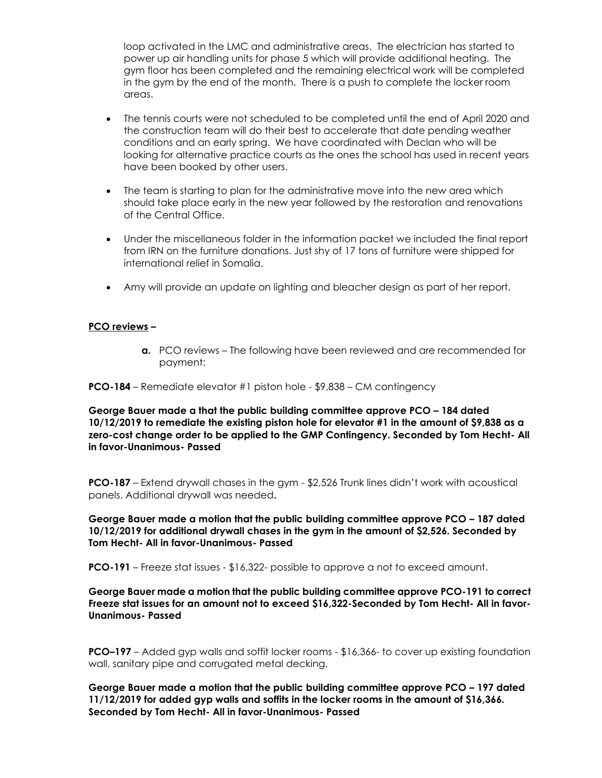loop activated in the LMC and administrative areas. The electrician has started to power up air handling units for phase 5 which will provide additional heating. The gym floor has been completed and the remaining electrical work will be completed in the gym by the end of the month. There is a push to complete the locker room areas.

- The tennis courts were not scheduled to be completed until the end of April 2020 and the construction team will do their best to accelerate that date pending weather conditions and an early spring. We have coordinated with Declan who will be looking for alternative practice courts as the ones the school has used in recent years have been booked by other users.
- The team is starting to plan for the administrative move into the new area which should take place early in the new year followed by the restoration and renovations of the Central Office.
- Under the miscellaneous folder in the information packet we included the final report from IRN on the furniture donations. Just shy of 17 tons of furniture were shipped for international relief in Somalia.
- Amy will provide an update on lighting and bleacher design as part of her report.

## **PCO reviews –**

**a.** PCO reviews – The following have been reviewed and are recommended for payment:

**PCO-184** – Remediate elevator #1 piston hole - \$9,838 – CM contingency

**George Bauer made a that the public building committee approve PCO – 184 dated 10/12/2019 to remediate the existing piston hole for elevator #1 in the amount of \$9,838 as a zero-cost change order to be applied to the GMP Contingency. Seconded by Tom Hecht- All in favor-Unanimous- Passed**

**PCO-187** – Extend drywall chases in the gym - \$2,526 Trunk lines didn't work with acoustical panels. Additional drywall was needed**.**

**George Bauer made a motion that the public building committee approve PCO – 187 dated 10/12/2019 for additional drywall chases in the gym in the amount of \$2,526. Seconded by Tom Hecht- All in favor-Unanimous- Passed**

**PCO-191** – Freeze stat issues - \$16,322- possible to approve a not to exceed amount.

**George Bauer made a motion that the public building committee approve PCO-191 to correct Freeze stat issues for an amount not to exceed \$16,322-Seconded by Tom Hecht- All in favor-Unanimous- Passed**

**PCO–197** – Added gyp walls and soffit locker rooms - \$16,366- to cover up existing foundation wall, sanitary pipe and corrugated metal decking.

**George Bauer made a motion that the public building committee approve PCO – 197 dated 11/12/2019 for added gyp walls and soffits in the locker rooms in the amount of \$16,366. Seconded by Tom Hecht- All in favor-Unanimous- Passed**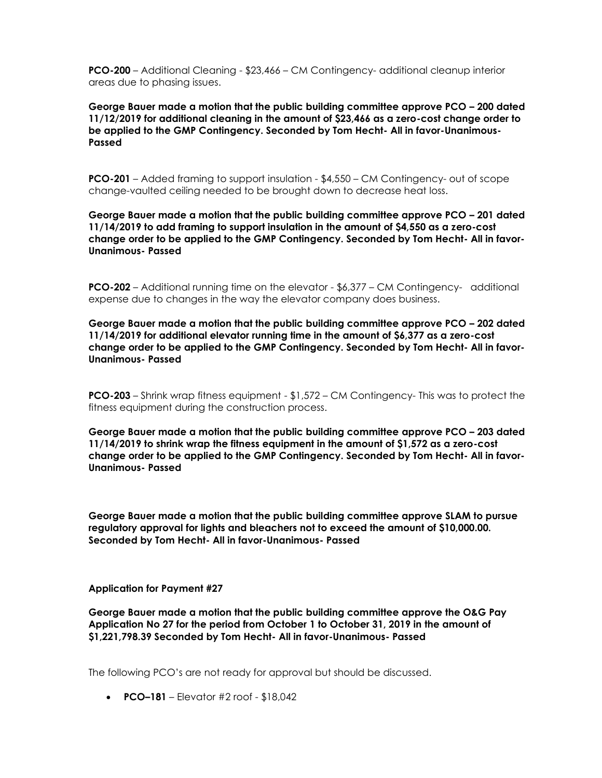**PCO-200** – Additional Cleaning - \$23,466 – CM Contingency- additional cleanup interior areas due to phasing issues.

**George Bauer made a motion that the public building committee approve PCO – 200 dated 11/12/2019 for additional cleaning in the amount of \$23,466 as a zero-cost change order to be applied to the GMP Contingency. Seconded by Tom Hecht- All in favor-Unanimous-Passed**

**PCO-201** – Added framing to support insulation - \$4,550 – CM Contingency- out of scope change-vaulted ceiling needed to be brought down to decrease heat loss.

**George Bauer made a motion that the public building committee approve PCO – 201 dated 11/14/2019 to add framing to support insulation in the amount of \$4,550 as a zero-cost change order to be applied to the GMP Contingency. Seconded by Tom Hecht- All in favor-Unanimous- Passed**

**PCO-202** – Additional running time on the elevator - \$6,377 – CM Contingency- additional expense due to changes in the way the elevator company does business.

**George Bauer made a motion that the public building committee approve PCO – 202 dated 11/14/2019 for additional elevator running time in the amount of \$6,377 as a zero-cost change order to be applied to the GMP Contingency. Seconded by Tom Hecht- All in favor-Unanimous- Passed**

**PCO-203** – Shrink wrap fitness equipment - \$1,572 – CM Contingency- This was to protect the fitness equipment during the construction process.

**George Bauer made a motion that the public building committee approve PCO – 203 dated 11/14/2019 to shrink wrap the fitness equipment in the amount of \$1,572 as a zero-cost change order to be applied to the GMP Contingency. Seconded by Tom Hecht- All in favor-Unanimous- Passed**

**George Bauer made a motion that the public building committee approve SLAM to pursue regulatory approval for lights and bleachers not to exceed the amount of \$10,000.00. Seconded by Tom Hecht- All in favor-Unanimous- Passed**

**Application for Payment #27**

**George Bauer made a motion that the public building committee approve the O&G Pay Application No 27 for the period from October 1 to October 31, 2019 in the amount of \$1,221,798.39 Seconded by Tom Hecht- All in favor-Unanimous- Passed**

The following PCO's are not ready for approval but should be discussed.

**PCO–181** – Elevator #2 roof - \$18,042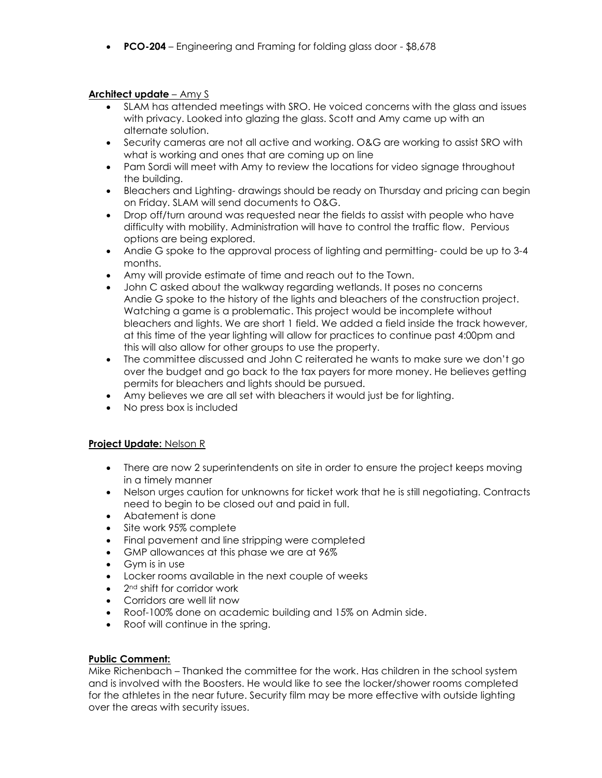**PCO-204** – Engineering and Framing for folding glass door - \$8,678

## **Architect update** – Amy S

- SLAM has attended meetings with SRO. He voiced concerns with the glass and issues with privacy. Looked into glazing the glass. Scott and Amy came up with an alternate solution.
- Security cameras are not all active and working. O&G are working to assist SRO with what is working and ones that are coming up on line
- Pam Sordi will meet with Amy to review the locations for video signage throughout the building.
- Bleachers and Lighting- drawings should be ready on Thursday and pricing can begin on Friday. SLAM will send documents to O&G.
- Drop off/turn around was requested near the fields to assist with people who have difficulty with mobility. Administration will have to control the traffic flow. Pervious options are being explored.
- Andie G spoke to the approval process of lighting and permitting- could be up to 3-4 months.
- Amy will provide estimate of time and reach out to the Town.
- John C asked about the walkway regarding wetlands. It poses no concerns Andie G spoke to the history of the lights and bleachers of the construction project. Watching a game is a problematic. This project would be incomplete without bleachers and lights. We are short 1 field. We added a field inside the track however, at this time of the year lighting will allow for practices to continue past 4:00pm and this will also allow for other groups to use the property.
- The committee discussed and John C reiterated he wants to make sure we don't go over the budget and go back to the tax payers for more money. He believes getting permits for bleachers and lights should be pursued.
- Amy believes we are all set with bleachers it would just be for lighting.
- No press box is included

#### **Project Update:** Nelson R

- There are now 2 superintendents on site in order to ensure the project keeps moving in a timely manner
- Nelson urges caution for unknowns for ticket work that he is still negotiating. Contracts need to begin to be closed out and paid in full.
- Abatement is done
- Site work 95% complete
- Final pavement and line stripping were completed
- GMP allowances at this phase we are at 96%
- Gym is in use
- Locker rooms available in the next couple of weeks
- $\bullet$  2<sup>nd</sup> shift for corridor work
- Corridors are well lit now
- Roof-100% done on academic building and 15% on Admin side.
- Roof will continue in the spring.

## **Public Comment:**

Mike Richenbach – Thanked the committee for the work. Has children in the school system and is involved with the Boosters. He would like to see the locker/shower rooms completed for the athletes in the near future. Security film may be more effective with outside lighting over the areas with security issues.